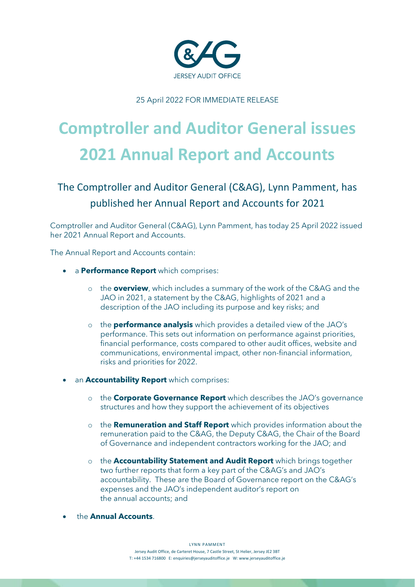

25 April 2022 FOR IMMEDIATE RELEASE

# **Comptroller and Auditor General issues 2021 Annual Report and Accounts**

# The Comptroller and Auditor General (C&AG), Lynn Pamment, has published her Annual Report and Accounts for 2021

Comptroller and Auditor General (C&AG), Lynn Pamment, has today 25 April 2022 issued her 2021 Annual Report and Accounts.

The Annual Report and Accounts contain:

- a **Performance Report** which comprises:
	- o the **overview**, which includes a summary of the work of the C&AG and the JAO in 2021, a statement by the C&AG, highlights of 2021 and a description of the JAO including its purpose and key risks; and
	- o the **performance analysis** which provides a detailed view of the JAO's performance. This sets out information on performance against priorities, financial performance, costs compared to other audit offices, website and communications, environmental impact, other non-financial information, risks and priorities for 2022.
- an **Accountability Report** which comprises:
	- o the **Corporate Governance Report** which describes the JAO's governance structures and how they support the achievement of its objectives
	- o the **Remuneration and Staff Report** which provides information about the remuneration paid to the C&AG, the Deputy C&AG, the Chair of the Board of Governance and independent contractors working for the JAO; and
	- o the **Accountability Statement and Audit Report** which brings together two further reports that form a key part of the C&AG's and JAO's accountability. These are the Board of Governance report on the C&AG's expenses and the JAO's independent auditor's report on the annual accounts; and
- the **Annual Accounts**.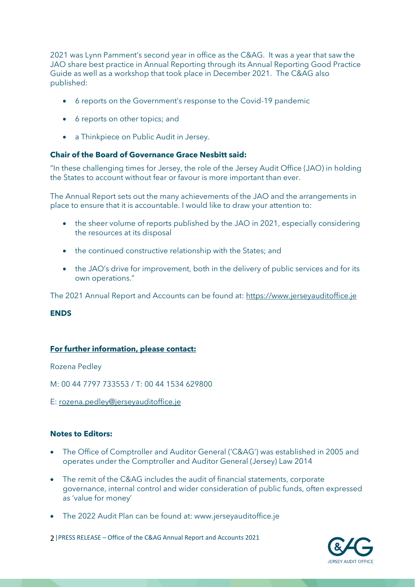2021 was Lynn Pamment's second year in office as the C&AG. It was a year that saw the JAO share best practice in Annual Reporting through its Annual Reporting Good Practice Guide as well as a workshop that took place in December 2021. The C&AG also published:

- 6 reports on the Government's response to the Covid-19 pandemic
- 6 reports on other topics: and
- a Thinkpiece on Public Audit in Jersey.

## **Chair of the Board of Governance Grace Nesbitt said:**

"In these challenging times for Jersey, the role of the Jersey Audit Office (JAO) in holding the States to account without fear or favour is more important than ever.

The Annual Report sets out the many achievements of the JAO and the arrangements in place to ensure that it is accountable. I would like to draw your attention to:

- the sheer volume of reports published by the JAO in 2021, especially considering the resources at its disposal
- the continued constructive relationship with the States; and
- the JAO's drive for improvement, both in the delivery of public services and for its own operations."

The 2021 Annual Report and Accounts can be found at: [https://www.jerseyauditoffice.je](https://www.jerseyauditoffice.je/)

#### **ENDS**

## **For further information, please contact:**

Rozena Pedley

M: 00 44 7797 733553 / T: 00 44 1534 629800

E: [rozena.pedley@jerseyauditoffice.je](mailto:rozena.pedley@jerseyauditoffice.je)

# **Notes to Editors:**

- The Office of Comptroller and Auditor General ('C&AG') was established in 2005 and operates under the Comptroller and Auditor General (Jersey) Law 2014
- The remit of the C&AG includes the audit of financial statements, corporate governance, internal control and wider consideration of public funds, often expressed as 'value for money'
- The 2022 Audit Plan can be found at: www.jerseyauditoffice.je

2|PRESS RELEASE – Office of the C&AG Annual Report and Accounts 2021